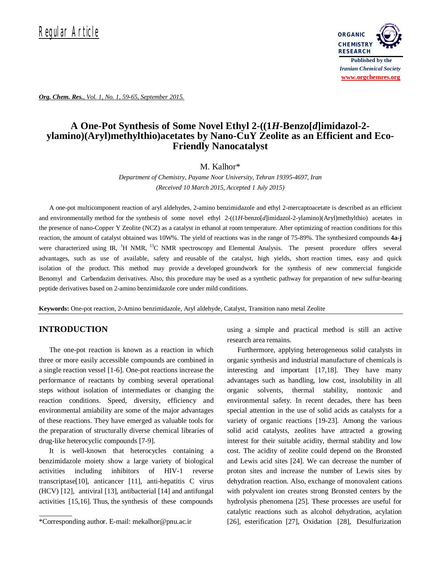

*Org. Chem. Res., Vol. 1, No. 1, 59-65, September 2015.*

# **A One-Pot Synthesis of Some Novel Ethyl 2-((1***H***-Benzo[***d***]imidazol-2 ylamino)(Aryl)methylthio)acetates by Nano-CuY Zeolite as an Efficient and Eco-Friendly Nanocatalyst**

M. Kalhor\*

*Department of Chemistry, Payame Noor University, Tehran 19395-4697, Iran (Received 10 March 2015, Accepted 1 July 2015)*

A one-pot multicomponent reaction of aryl aldehydes, 2-amino benzimidazole and ethyl 2-mercaptoacetate is described as an efficient and environmentally method for the synthesis of some novel ethyl 2-((1*H*-benzo[*d*]imidazol-2-ylamino)(Aryl)methylthio) acetates in the presence of nano-Copper Y Zeolite (NCZ) as a catalyst in ethanol at room temperature. After optimizing of reaction conditions for this reaction, the amount of catalyst obtained was 10W%. The yield of reactions was in the range of 75-89%. The synthesized compounds **4a-j** were characterized using IR, <sup>1</sup>H NMR, <sup>13</sup>C NMR spectroscopy and Elemental Analysis. The present procedure offers several advantages, such as use of available, safety and reusable of the catalyst, high yields, short reaction times, easy and quick isolation of the product. This method may provide a developed groundwork for the synthesis of new commercial fungicide Benomyl and Carbendazim derivatives. Also, this procedure may be used as a synthetic pathway for preparation of new sulfur-bearing peptide derivatives based on 2-amino benzimidazole core under mild conditions.

**Keywords:** One-pot reaction, 2**-**Amino benzimidazole, Aryl aldehyde, Catalyst, Transition nano metal Zeolite

### **INTRODUCTION**

The one-pot reaction is known as a reaction in which three or more easily accessible compounds are combined in a single reaction vessel [1-6]. One-pot reactions increase the performance of reactants by combing several operational steps without isolation of intermediates or changing the reaction conditions. Speed, diversity, efficiency and environmental amiability are some of the major advantages of these reactions. They have emerged as valuable tools for the preparation of structurally diverse chemical libraries of drug-like heterocyclic compounds [7-9].

It is well-known that heterocycles containing a benzimidazole moiety show a large variety of biological activities including inhibitors of HIV-1 reverse transcriptase[10], anticancer [11], anti-hepatitis C virus (HCV) [12], antiviral [13], antibacterial [14] and antifungal activities [15,16]. Thus, the synthesis of these compounds

using a simple and practical method is still an active research area remains.

Furthermore, applying heterogeneous solid catalysts in organic synthesis and industrial manufacture of chemicals is interesting and important [17,18]. They have many advantages such as handling, low cost, insolubility in all organic solvents, thermal stability, nontoxic and environmental safety. In recent decades, there has been special attention in the use of solid acids as catalysts for a variety of organic reactions [19-23]. Among the various solid acid catalysts, zeolites have attracted a growing interest for their suitable acidity, thermal stability and low cost. The acidity of zeolite could depend on the Bronsted and Lewis acid sites [24]. We can decrease the number of proton sites and increase the number of Lewis sites by dehydration reaction. Also, exchange of monovalent cations with polyvalent ion creates strong Bronsted centers by the hydrolysis phenomena [25]. These processes are useful for catalytic reactions such as alcohol dehydration, acylation [26], esterification [27], Oxidation [28],Desulfurization

<sup>\*</sup>Corresponding author. E-mail: mekalhor@pnu.ac.ir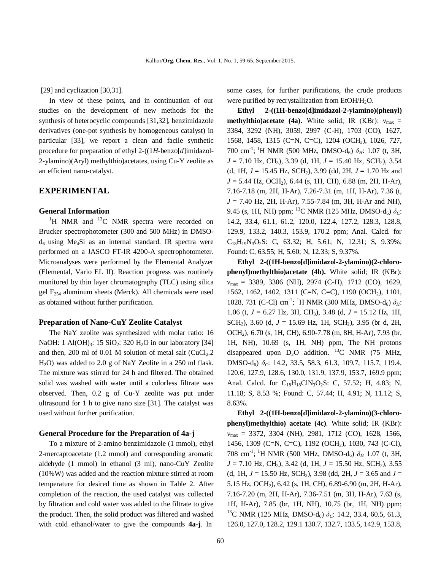[29] and cyclization [30,31].

In view of these points, and in continuation of our studies on the development of new methods for the synthesis of heterocyclic compounds [31,32], benzimidazole derivatives (one-pot synthesis by homogeneous catalyst) in particular [33], we report a clean and facile synthetic procedure for preparation of ethyl 2-((1*H*-benzo[*d*]imidazol-2-ylamino)(Aryl) methylthio)acetates, using Cu-Y zeolite as an efficient nano-catalyst.

## **EXPERIMENTAL**

#### **General Information**

 ${}^{1}$ H NMR and  ${}^{13}$ C NMR spectra were recorded on Brucker spectrophotometer (300 and 500 MHz) in DMSO $d_6$  using Me<sub>4</sub>Si as an internal standard. IR spectra were performed on a JASCO FT-IR 4200-A spectrophotometer. Microanalyses were performed by the Elemental Analyzer (Elemental, Vario EL II). Reaction progress was routinely monitored by thin layer chromatography (TLC) using silica gel  $F_{254}$  aluminum sheets (Merck). All chemicals were used as obtained without further purification.

#### **Preparation of Nano-CuY Zeolite Catalyst**

The NaY zeolite was synthesized with molar ratio: 16 NaOH: 1 Al(OH)<sub>3</sub>: 15 SiO<sub>2</sub>: 320 H<sub>2</sub>O in our laboratory [34] and then, 200 ml of 0.01 M solution of metal salt  $(CuCl<sub>2</sub>.2)$ H2O) was added to 2.0 g of NaY Zeolite in a 250 ml flask. The mixture was stirred for 24 h and filtered. The obtained solid was washed with water until a colorless filtrate was observed. Then, 0.2 g of Cu-Y zeolite was put under ultrasound for 1 h to give nano size [31]. The catalyst was used without further purification.

#### **General Procedure for the Preparation of 4a-j**

To a mixture of 2-amino benzimidazole (1 mmol), ethyl 2-mercaptoacetate (1.2 mmol) and corresponding aromatic aldehyde (1 mmol) in ethanol (3 ml), nano-CuY Zeolite (10%W) was added and the reaction mixture stirred at room temperature for desired time as shown in Table 2. After completion of the reaction, the used catalyst was collected by filtration and cold water was added to the filtrate to give the product. Then, the solid product was filtered and washed with cold ethanol/water to give the compounds **4a-j**. In

some cases, for further purifications, the crude products were purified by recrystallization from  $EtOH/H<sub>2</sub>O$ .

**Ethyl 2-((1H-benzo[d]imidazol-2-ylamino)(phenyl) methylthio)acetate (4a).** White solid; IR (KBr):  $v_{\text{max}} =$ 3384, 3292 (NH), 3059, 2997 (C-H), 1703 (CO), 1627, 1568, 1458, 1315 (C=N, C=C), 1204 (OCH2), 1026, 727, 700 cm-1 ; <sup>1</sup>H NMR (500 MHz, DMSO-d6) *δH*: 1.07 (t, 3H, *J* = 7.10 Hz, CH<sub>3</sub>), 3.39 (d, 1H, *J* = 15.40 Hz, SCH<sub>2</sub>), 3.54 (d, 1H,  $J = 15.45$  Hz, SCH<sub>2</sub>), 3.99 (dd, 2H,  $J = 1.70$  Hz and *J* = 5.44 Hz, OCH<sub>2</sub>), 6.44 (s, 1H, CH), 6.88 (m, 2H, H-Ar), 7.16-7.18 (m, 2H, H-Ar), 7.26-7.31 (m, 1H, H-Ar), 7.36 (t, *J* = 7.40 Hz, 2H, H-Ar), 7.55-7.84 (m, 3H, H-Ar and NH), 9.45 (s, 1H, NH) ppm; <sup>13</sup>C NMR (125 MHz, DMSO-d<sub>6</sub>)  $\delta_C$ : 14.2, 33.4, 61.1, 61.2, 120.0, 122.4, 127.2, 128.3, 128.8, 129.9, 133.2, 140.3, 153.9, 170.2 ppm; Anal. Calcd. for  $C_{18}H_{19}N_3O_2S$ : C, 63.32; H, 5.61; N, 12.31; S, 9.39%; Found: C, 63.55; H, 5.60; N, 12.33; S, 9.37%.

**Ethyl 2-((1H-benzo[d]imidazol-2-ylamino)(2-chlorophenyl)methylthio)acetate (4b).** White solid; IR (KBr):  $v_{\text{max}} = 3389, 3306$  (NH), 2974 (C-H), 1712 (CO), 1629, 1562, 1462, 1402, 1311 (C=N, C=C), 1190 (OCH2), 1101, 1028, 731 (C-Cl) cm<sup>-1</sup>; <sup>1</sup>H NMR (300 MHz, DMSO-d<sub>6</sub>)  $δ<sub>H</sub>$ : 1.06 (t, *J* = 6.27 Hz, 3H, CH3), 3.48 (d, *J* = 15.12 Hz, 1H, SCH<sub>2</sub>), 3.60 (d,  $J = 15.69$  Hz, 1H, SCH<sub>2</sub>), 3.95 (br d, 2H, OCH2), 6.70 (s, 1H, CH), 6.90-7.78 (m, 8H, H-Ar), 7.93 (br, 1H, NH), 10.69 (s, 1H, NH) ppm, The NH protons disappeared upon  $D_2O$  addition. <sup>13</sup>C NMR (75 MHz, DMSO-d6) *δC*: 14.2, 33.5, 58.3, 61.3, 109.7, 115.7, 119.4, 120.6, 127.9, 128.6, 130.0, 131.9, 137.9, 153.7, 169.9 ppm; Anal. Calcd. for  $C_{18}H_{18}C1N_3O_2S$ : C, 57.52; H, 4.83; N, 11.18; S, 8.53 %; Found: C, 57.44; H, 4.91; N, 11.12; S, 8.63%.

**Ethyl 2-((1H-benzo[d]imidazol-2-ylamino)(3-chlorophenyl)methylthio) acetate (4c)**. White solid; IR (KBr):  $v_{\text{max}} = 3372, 3304$  (NH), 2981, 1712 (CO), 1628, 1566, 1456, 1309 (C=N, C=C), 1192 (OCH2), 1030, 743 (C-Cl), 708 cm-1 ; <sup>1</sup>H NMR (500 MHz, DMSO-d6) *δH* 1.07 (t, 3H, *J* = 7.10 Hz, CH<sub>3</sub>), 3.42 (d, 1H, *J* = 15.50 Hz, SCH<sub>2</sub>), 3.55 (d, 1H,  $J = 15.50$  Hz, SCH<sub>2</sub>), 3.98 (dd, 2H,  $J = 3.65$  and  $J =$ 5.15 Hz, OCH2), 6.42 (s, 1H, CH), 6.89-6.90 (m, 2H, H-Ar), 7.16-7.20 (m, 2H, H-Ar), 7.36-7.51 (m, 3H, H-Ar), 7.63 (s, 1H, H-Ar), 7.85 (br, 1H, NH), 10.75 (br, 1H, NH) ppm; <sup>13</sup>C NMR (125 MHz, DMSO-d<sub>6</sub>)  $\delta_c$ : 14.2, 33.4, 60.5, 61.3, 126.0, 127.0, 128.2, 129.1 130.7, 132.7, 133.5, 142.9, 153.8,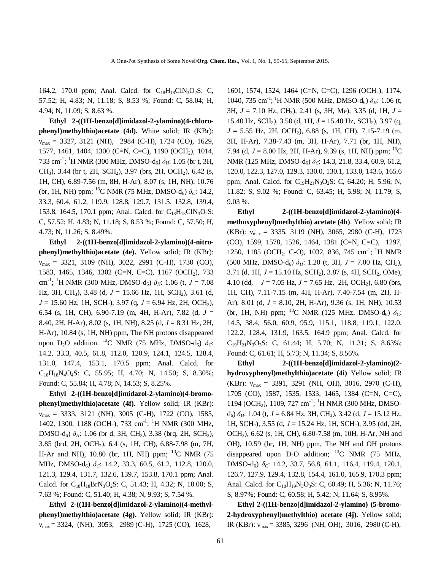164.2, 170.0 ppm; Anal. Calcd. for  $C_{18}H_{18}C1N_3O_2S$ : C, 57.52; H, 4.83; N, 11.18; S, 8.53 %; Found: C, 58.04; H, 4.94; N, 11.09; S, 8.63 %.

**Ethyl 2-((1H-benzo[d]imidazol-2-ylamino)(4-chlorophenyl)methylthio)acetate (4d).** White solid; IR (KBr):  $v_{\text{max}} = 3327, 3121$  (NH), 2984 (C-H), 1724 (CO), 1629, 1577, 1461, 1404, 1300 (C=N, C=C), 1190 (OCH2), 1014, 733 cm-1 ; <sup>1</sup>H NMR (300 MHz, DMSO-d6) *δH*: 1.05 (br t, 3H, CH<sub>3</sub>), 3.44 (br t, 2H, SCH<sub>2</sub>), 3.97 (brs, 2H, OCH<sub>2</sub>), 6.42 (s, 1H, CH), 6.89-7.56 (m, 8H, H-Ar), 8.07 (s, 1H, NH), 10.76 (br, 1H, NH) ppm; <sup>13</sup>C NMR (75 MHz, DMSO-d<sub>6</sub>)  $\delta_c$ : 14.2, 33.3, 60.4, 61.2, 119.9, 128.8, 129.7, 131.5, 132.8, 139.4, 153.8, 164.5, 170.1 ppm; Anal. Calcd. for  $C_{18}H_{18}C_{18}O_2S$ : C, 57.52; H, 4.83; N, 11.18; S, 8.53 %; Found: C, 57.50; H, 4.73; N, 11.26; S, 8.49%.

**Ethyl 2-((1H-benzo[d]imidazol-2-ylamino)(4-nitrophenyl)methylthio)acetate (4e).** Yellow solid; IR (KBr):  $v_{\text{max}} = 3321, 3109$  (NH), 3022, 2991 (C-H), 1730 (CO), 1583, 1465, 1346, 1302 (C=N, C=C), 1167 (OCH2), 733 cm-1 ; <sup>1</sup>H NMR (300 MHz, DMSO-d6) *δH*: 1.06 (t, *J* = 7.08 Hz, 3H, CH<sub>3</sub>), 3.48 (d, *J* = 15.66 Hz, 1H, SCH<sub>2</sub>), 3.61 (d, *J* = 15.60 Hz, 1H, SCH<sub>2</sub>), 3.97 (q, *J* = 6.94 Hz, 2H, OCH<sub>2</sub>), 6.54 (s, 1H, CH), 6.90-7.19 (m, 4H, H-Ar), 7.82 (d, *J* = 8.40, 2H, H-Ar), 8.02 (s, 1H, NH), 8.25 (d, *J* = 8.31 Hz, 2H, H-Ar), 10.84 (s, 1H, NH) ppm, The NH protons disappeared upon D<sub>2</sub>O addition. <sup>13</sup>C NMR (75 MHz, DMSO-d<sub>6</sub>)  $\delta_c$ : 14.2, 33.3, 40.5, 61.8, 112.0, 120.9, 124.1, 124.5, 128.4, 131.0, 147.4, 153.1, 170.5 ppm; Anal. Calcd. for  $C_{18}H_{18}N_4O_4S$ : C, 55.95; H, 4.70; N, 14.50; S, 8.30%; Found: C, 55.84; H, 4.78; N, 14.53; S, 8.25%.

**Ethyl 2-((1H-benzo[d]imidazol-2-ylamino)(4-bromophenyl)methylthio)acetate (4f).** Yellow solid; IR (KBr):  $v_{\text{max}} = 3333, 3121$  (NH), 3005 (C-H), 1722 (CO), 1585, 1402, 1300, 1188 (OCH<sub>2</sub>), 733 cm<sup>-1</sup>; <sup>1</sup>H NMR (300 MHz, DMSO-d<sub>6</sub>)  $\delta$ <sup>H</sup>: 1.06 (br d, 3H, CH<sub>3</sub>), 3.38 (brq, 2H, SCH<sub>2</sub>), 3.85 (brd, 2H, OCH2), 6.4 (s, 1H, CH), 6.88-7.98 (m, 7H, H-Ar and NH), 10.80 (br, 1H, NH) ppm;  $^{13}$ C NMR (75 MHz, DMSO-d<sub>6</sub>)  $\delta$ <sub>C</sub>: 14.2, 33.3, 60.5, 61.2, 112.8, 120.0, 121.3, 129.4, 131.7, 132.6, 139.7, 153.8, 170.1 ppm; Anal. Calcd. for  $C_{18}H_{18}BrN_3O_2S$ : C, 51.43; H, 4.32; N, 10.00; S, 7.63 %; Found: C, 51.40; H, 4.38; N, 9.93; S, 7.54 %.

**Ethyl 2-((1H-benzo[d]imidazol-2-ylamino)(4-methylphenyl)methylthio)acetate (4g).** Yellow solid; IR (KBr):  $v_{\text{max}} = 3324$ , (NH), 3053, 2989 (C-H), 1725 (CO), 1628,

1601, 1574, 1524, 1464 (C=N, C=C), 1296 (OCH2), 1174, 1040, 735 cm<sup>-1</sup>; <sup>1</sup>H NMR (500 MHz, DMSO-d<sub>6</sub>)  $δ<sub>H</sub>$ : 1.06 (t, 3H, *J* = 7.10 Hz, CH3), 2.41 (s, 3H, Me), 3.35 (d, 1H, *J* = 15.40 Hz, SCH<sub>2</sub>), 3.50 (d, 1H,  $J = 15.40$  Hz, SCH<sub>2</sub>), 3.97 (q, *J* = 5.55 Hz, 2H, OCH2), 6.88 (s, 1H, CH), 7.15-7.19 (m, 3H, H-Ar), 7.38-7.43 (m, 3H, H-Ar), 7.71 (br, 1H, NH), 7.94 (d,  $J = 8.00$  Hz, 2H, H-Ar), 9.39 (s, 1H, NH) ppm; <sup>13</sup>C NMR (125 MHz, DMSO-d<sub>6</sub>)  $\delta$ <sub>C</sub>: 14.3, 21.8, 33.4, 60.9, 61.2, 120.0, 122.3, 127.0, 129.3, 130.0, 130.1, 133.0, 143.6, 165.6 ppm; Anal. Calcd. for  $C_{19}H_{21}N_3O_2S$ : C, 64.20; H, 5.96; N, 11.82; S, 9.02 %; Found: C, 63.45; H, 5.98; N, 11.79; S, 9.03 %.

**Ethyl 2-((1H-benzo[d]imidazol-2-ylamino)(4 methoxyphenyl)methylthio) acetate (4h)**. Yellow solid; IR (KBr):  $v_{\text{max}} = 3335, 3119$  (NH), 3065, 2980 (C-H), 1723 (CO), 1599, 1578, 1526, 1464, 1381 (C=N, C=C), 1297, 1250, 1185 (OCH<sub>2</sub>, C-O), 1032, 836, 745 cm<sup>-1</sup>; <sup>1</sup>H NMR (500 MHz, DMSO-d<sub>6</sub>)  $\delta$ <sub>H</sub>: 1.20 (t, 3H,  $J = 7.00$  Hz, CH<sub>3</sub>), 3.71 (d, 1H, *J* = 15.10 Hz, SCH2), 3.87 (s, 4H, SCH2, OMe), 4.10 (dd,  $J = 7.05$  Hz,  $J = 7.65$  Hz, 2H, OCH<sub>2</sub>), 6.80 (brs, 1H, CH), 7.11-7.15 (m, 4H, H-Ar), 7.40-7.54 (m, 2H, H-Ar), 8.01 (d, *J* = 8.10, 2H, H-Ar), 9.36 (s, 1H, NH), 10.53 (br, 1H, NH) ppm; <sup>13</sup>C NMR (125 MHz, DMSO-d<sub>6</sub>)  $\delta_c$ : 14.5, 38.4, 56.0, 60.9, 95.9, 115.1, 118.8, 119.1, 122.0, 122.2, 128.4, 131.9, 163.5, 164.9 ppm; Anal. Calcd. for  $C_{19}H_{21}N_3O_3S$ : C, 61.44; H, 5.70; N, 11.31; S, 8.63%; Found: C, 61.61; H, 5.73; N, 11.34; S, 8.56%.

**Ethyl 2-((1H-benzo[d]imidazol-2-ylamino)(2 hydroxyphenyl)methylthio)acetate (4i)** Yellow solid; IR (KBr):  $v_{\text{max}} = 3391, 3291$  (NH, OH), 3016, 2970 (C-H), 1705 (CO), 1587, 1535, 1533, 1465, 1384 (C=N, C=C), 1194 (OCH<sub>2</sub>), 1109, 727 cm<sup>-1</sup>; <sup>1</sup>H NMR (300 MHz, DMSOd6) *δH*: 1.04 (t, *J* = 6.84 Hz, 3H, CH3), 3.42 (d, *J* = 15.12 Hz, 1H, SCH2), 3.55 (d, *J* = 15.24 Hz, 1H, SCH2), 3.95 (dd, 2H, OCH2), 6.62 (s, 1H, CH), 6.80-7.58 (m, 10H, H-Ar, NH and OH), 10.59 (br, 1H, NH) ppm, The NH and OH protons disappeared upon  $D_2O$  addition; <sup>13</sup>C NMR (75 MHz, DMSO-d6) *δC*: 14.2, 33.7, 56.8, 61.1, 116.4, 119.4, 120.1, 126.7, 127.9, 129.4, 132.8, 154.4, 161.0, 165.9, 170.3 ppm; Anal. Calcd. for C<sub>18</sub>H<sub>19</sub>N<sub>3</sub>O<sub>3</sub>S: C, 60.49; H, 5.36; N, 11.76; S, 8.97%; Found: C, 60.58; H, 5.42; N, 11.64; S, 8.95%.

**Ethyl 2-((1H-benzo[d]imidazol-2-ylamino) (5-bromo-2-hydroxyphenyl)methylthio) acetate (4j).** Yellow solid; IR (KBr):  $v_{\text{max}} = 3385, 3296$  (NH, OH), 3016, 2980 (C-H),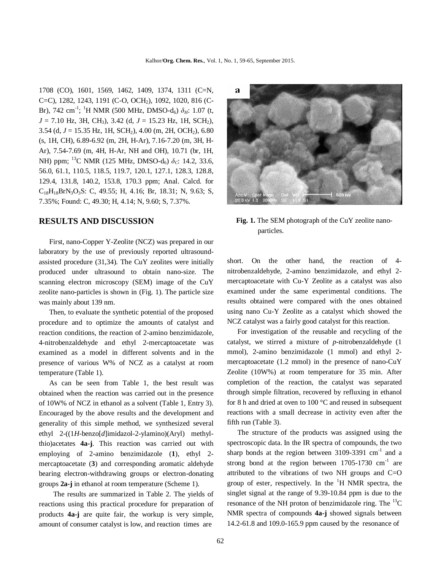1708 (CO), 1601, 1569, 1462, 1409, 1374, 1311 (C=N, C=C), 1282, 1243, 1191 (C-O, OCH<sub>2</sub>), 1092, 1020, 816 (C-Br), 742 cm<sup>-1</sup>; <sup>1</sup>H NMR (500 MHz, DMSO-d<sub>6</sub>)  $\delta$ <sub>H</sub>: 1.07 (t, *J* = 7.10 Hz, 3H, CH<sub>3</sub>), 3.42 (d, *J* = 15.23 Hz, 1H, SCH<sub>2</sub>), 3.54 (d, *J* = 15.35 Hz, 1H, SCH2), 4.00 (m, 2H, OCH2), 6.80 (s, 1H, CH), 6.89-6.92 (m, 2H, H-Ar), 7.16-7.20 (m, 3H, H-Ar), 7.54-7.69 (m, 4H, H-Ar, NH and OH), 10.71 (br, 1H, NH) ppm; <sup>13</sup>C NMR (125 MHz, DMSO-d6) *δC*: 14.2, 33.6, 56.0, 61.1, 110.5, 118.5, 119.7, 120.1, 127.1, 128.3, 128.8, 129.4, 131.8, 140.2, 153.8, 170.3 ppm; Anal. Calcd. for  $C_{18}H_{18}BrN_3O_3S$ : C, 49.55; H, 4.16; Br, 18.31; N, 9.63; S, 7.35%; Found: C, 49.30; H, 4.14; N, 9.60; S, 7.37%.

#### **RESULTS AND DISCUSSION**

First, nano-Copper Y-Zeolite (NCZ) was prepared in our laboratory by the use of previously reported ultrasoundassisted procedure (31,34). The CuY zeolites were initially produced under ultrasound to obtain nano-size. The scanning electron microscopy (SEM) image of the CuY zeolite nano-particles is shown in (Fig. 1). The particle size was mainly about 139 nm.

Then, to evaluate the synthetic potential of the proposed procedure and to optimize the amounts of catalyst and reaction conditions, the reaction of 2-amino benzimidazole, 4-nitrobenzaldehyde and ethyl 2-mercaptoacetate was examined as a model in different solvents and in the presence of various W% of NCZ as a catalyst at room temperature (Table 1).

As can be seen from Table 1, the best result was obtained when the reaction was carried out in the presence of 10W% of NCZ in ethanol as a solvent (Table 1, Entry 3). Encouraged by the above results and the development and generality of this simple method, we synthesized several ethyl 2-((1*H*-benzo[*d*]imidazol-2-ylamino)(Aryl) methylthio)acetates **4a-j**. This reaction was carried out with employing of 2-amino benzimidazole (**1**), ethyl 2 mercaptoacetate (**3**) and corresponding aromatic aldehyde bearing electron-withdrawing groups or electron-donating groups **2a-j** in ethanol at room temperature (Scheme 1).

The results are summarized in Table 2. The yields of reactions using this practical procedure for preparation of products **4a-j** are quite fair, the workup is very simple, amount of consumer catalyst is low, and reaction times are



**Fig. 1.** The SEM photograph of the CuY zeolite nano particles.

short. On the other hand, the reaction of 4 nitrobenzaldehyde, 2-amino benzimidazole, and ethyl 2 mercaptoacetate with Cu-Y Zeolite as a catalyst was also examined under the same experimental conditions. The results obtained were compared with the ones obtained using nano Cu-Y Zeolite as a catalyst which showed the NCZ catalyst was a fairly good catalyst for this reaction.

For investigation of the reusable and recycling of the catalyst, we stirred a mixture of *p*-nitrobenzaldehyde (1 mmol), 2-amino benzimidazole (1 mmol) and ethyl 2 mercaptoacetate (1.2 mmol) in the presence of nano-CuY Zeolite (10W%) at room temperature for 35 min. After completion of the reaction, the catalyst was separated through simple filtration, recovered by refluxing in ethanol for 8 h and dried at oven to 100 °C and reused in subsequent reactions with a small decrease in activity even after the fifth run (Table 3).

The structure of the products was assigned using the spectroscopic data. In the IR spectra of compounds, the two sharp bonds at the region between  $3109-3391$  cm<sup>-1</sup> and a strong bond at the region between  $1705-1730$  cm<sup>-1</sup> are attributed to the vibrations of two NH groups and C=O group of ester, respectively. In the  $H$  NMR spectra, the singlet signal at the range of 9.39-10.84 ppm is due to the resonance of the NH proton of benzimidazole ring. The  $^{13}$ C NMR spectra of compounds **4a-j** showed signals between 14.2-61.8 and 109.0-165.9 ppm caused by the resonance of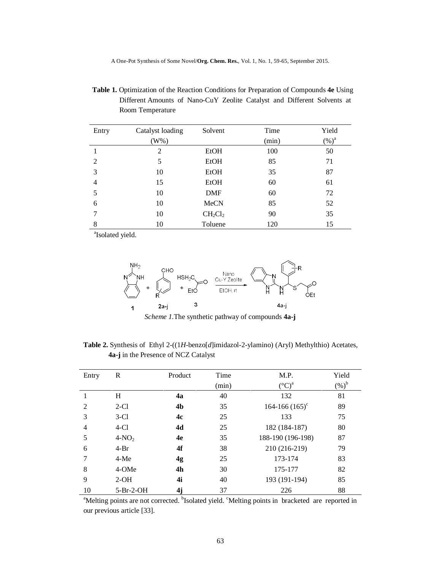A One-Pot Synthesis of Some Novel/**Org. Chem. Res.**, Vol. 1, No. 1, 59-65, September 2015.

 **Table 1.** Optimization of the Reaction Conditions for Preparation of Compounds **4e** Using Different Amounts of Nano-CuY Zeolite Catalyst and Different Solvents at Room Temperature

| Entry | Catalyst loading | Solvent     | Time  | Yield             |
|-------|------------------|-------------|-------|-------------------|
|       | $(W\%)$          |             | (min) | $(\%)^{\text{a}}$ |
|       | $\overline{2}$   | <b>EtOH</b> | 100   | 50                |
| 2     | 5                | <b>EtOH</b> | 85    | 71                |
| 3     | 10               | EtOH        | 35    | 87                |
| 4     | 15               | <b>EtOH</b> | 60    | 61                |
| 5     | 10               | <b>DMF</b>  | 60    | 72                |
| 6     | 10               | MeCN        | 85    | 52                |
| 7     | 10               | $CH_2Cl_2$  | 90    | 35                |
| 8     | 10               | Toluene     | 120   | 15                |

a a shekarar 1992 a shekarar 1993 a tsart Isolated yield.



*Scheme 1.*The synthetic pathway of compounds **4a-j**

 **Table 2.** Synthesis of Ethyl 2-((1*H*-benzo[*d*]imidazol-2-ylamino) (Aryl) Methylthio) Acetates, **4a-j** in the Presence of NCZ Catalyst

| Entry          | R           | Product        | Time<br>(min) | M.P.<br>$({}^{\circ}C)^{a}$ | Yield<br>$(\%)^{\text{b}}$ |
|----------------|-------------|----------------|---------------|-----------------------------|----------------------------|
|                | H           | 4a             | 40            | 132                         | 81                         |
| $\mathfrak{D}$ | $2-C1$      | 4 <sub>b</sub> | 35            | $164 - 166 (165)^c$         | 89                         |
| 3              | $3-C1$      | 4c             | 25            | 133                         | 75                         |
| 4              | $4-C1$      | 4d             | 25            | 182 (184-187)               | 80                         |
| 5              | $4-NO2$     | 4e             | 35            | 188-190 (196-198)           | 87                         |
| 6              | $4-Br$      | 4f             | 38            | 210 (216-219)               | 79                         |
|                | $4-Me$      | 4g             | 25            | 173-174                     | 83                         |
| 8              | 4-OMe       | 4 <sub>h</sub> | 30            | 175-177                     | 82                         |
| 9              | $2-OH$      | 4i             | 40            | 193 (191-194)               | 85                         |
| 10             | $5-Pr-2-OH$ | 4j             | 37            | 226                         | 88                         |

<sup>a</sup>Melting points are not corrected. <sup>b</sup>Isolated yield. <sup>c</sup>Melting points in bracketed are reported in our previous article [33].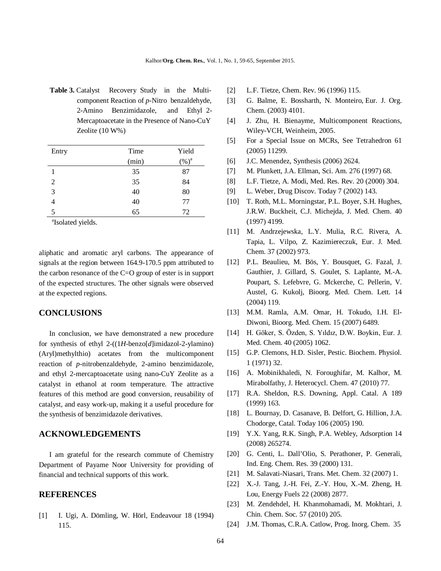**Table 3.** Catalyst Recovery Study in the Multi component Reaction of *p*-Nitro benzaldehyde, 2-Amino Benzimidazole, and Ethyl 2- Mercaptoacetate in the Presence of Nano-CuY Zeolite (10 W%)

| Entry | Time  | Yield    |
|-------|-------|----------|
|       | (min) | $(\%)^a$ |
|       | 35    | 87       |
| 2     | 35    | 84       |
| 3     | 40    | 80       |
| 4     | 40    | 77       |
| 5     | 65    | 72       |

a Isolated yields.

aliphatic and aromatic aryl carbons. The appearance of signals at the region between 164.9-170.5 ppm attributed to the carbon resonance of the C=O group of ester is in support of the expected structures. The other signals were observed at the expected regions.

## **CONCLUSIONS**

In conclusion, we have demonstrated a new procedure for synthesis of ethyl 2-((1*H*-benzo[*d*]imidazol-2-ylamino) (Aryl)methylthio) acetates from the multicomponent reaction of *p*-nitrobenzaldehyde, 2-amino benzimidazole, and ethyl 2-mercaptoacetate using nano-CuY Zeolite as a catalyst in ethanol at room temperature. The attractive features of this method are good conversion, reusability of catalyst, and easy work-up, making it a useful procedure for the synthesis of benzimidazole derivatives.

## **ACKNOWLEDGEMENTS**

I am grateful for the research commute of Chemistry Department of Payame Noor University for providing of financial and technical supports of this work.

#### **REFERENCES**

[1] I. Ugi, A. Dömling, W. Hörl, Endeavour 18 (1994) 115.

- [2] L.F. Tietze, Chem. Rev. 96 (1996) 115.
- [3] G. Balme, E. Bossharth, N. Monteiro, Eur. J. Org. Chem. (2003) 4101.
- [4] J. Zhu, H. Bienayme, Multicomponent Reactions, Wiley-VCH, Weinheim, 2005.
- [5] For a Special Issue on MCRs, See Tetrahedron 61 (2005) 11299.
- [6] J.C. Menendez, Synthesis (2006) 2624.
- [7] M. Plunkett, J.A. Ellman, Sci. Am. 276 (1997) 68.
- [8] L.F. Tietze, A. Modi, Med. Res. Rev. 20 (2000) 304.
- [9] L. Weber, Drug Discov. Today 7 (2002) 143.
- [10] T. Roth, M.L. Morningstar, P.L. Boyer, S.H. Hughes, J.R.W. Buckheit, C.J. Michejda, J. Med. Chem. 40 (1997) 4199.
- [11] M. Andrzejewska, L.Y. Mulia, R.C. Rivera, A. Tapia, L. Vilpo, Z. Kazimiereczuk, Eur. J. Med. Chem. 37 (2002) 973.
- [12] P.L. Beaulieu, M. Bös, Y. Bousquet, G. Fazal, J. Gauthier, J. Gillard, S. Goulet, S. Laplante, M.-A. Poupart, S. Lefebvre, G. Mckerche, C. Pellerin, V. Austel, G. Kukolj, Bioorg. Med. Chem. Lett. 14 (2004) 119.
- [13] M.M. Ramla, A.M. Omar, H. Tokudo, I.H. El-Diwoni, Bioorg. Med. Chem. 15 (2007) 6489.
- [14] H. Göker, S. Özden, S. Yıldız, D.W. Boykin, Eur. J. Med. Chem. 40 (2005) 1062.
- [15] G.P. Clemons, H.D. Sisler, Pestic. Biochem. Physiol. 1 (1971) 32.
- [16] A. Mobinikhaledi, N. Foroughifar, M. Kalhor, M. Mirabolfathy, J. Heterocycl. Chem. 47 (2010) 77.
- [17] R.A. Sheldon, R.S. Downing, Appl. Catal. A 189 (1999) 163.
- [18] L. Bournay, D. Casanave, B. Delfort, G. Hillion, J.A. Chodorge, Catal. Today 106 (2005) 190.
- [19] Y.X. Yang, R.K. Singh, P.A. Webley, Adsorption 14 (2008) 265274.
- [20] G. Centi, L. Dall'Olio, S. Perathoner, P. Generali, Ind. Eng. Chem. Res. 39 (2000) 131.
- [21] M. Salavati-Niasari, Trans. Met. Chem. 32 (2007) 1.
- [22] X.-J. Tang, J.-H. Fei, Z.-Y. Hou, X.-M. Zheng, H. Lou, Energy Fuels 22 (2008) 2877.
- [23] M. Zendehdel, H. Khanmohamadi, M. Mokhtari, J. Chin. Chem. Soc. 57 (2010) 205.
- [24] J.M. Thomas, C.R.A. Catlow, Prog. Inorg. Chem. 35